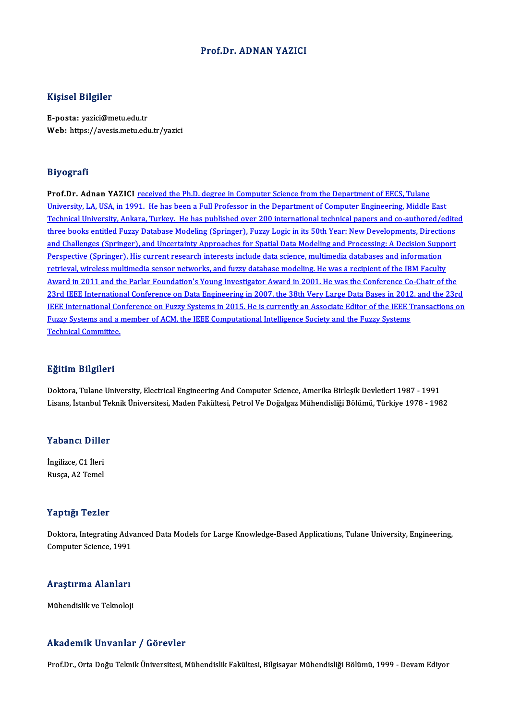## Prof.Dr. ADNAN YAZICI

## Kişisel Bilgiler

E-posta: yazici@metu.edu.tr Web: https://avesis.metu.edu.tr/yazici

### Biyografi

Prof.Dr. Adnan YAZICI received the Ph.D. degree in Computer Science from the Department of EECS, Tulane University, LA, USA, in 1991. He has been a Full Professor in the Department of Computer Engineering, Middle East Prof.Dr. Adnan YAZICI <u>received the Ph.D. degree in Computer Science from the Department of EECS, Tulane<br>University, LA, USA, in 1991. He has been a Full Professor in the Department of Computer Engineering, Middle East<br>Tec</u> University, LA, USA, in 1991. He has been a Full Professor in the Department of Computer Engineering, Middle East<br>Technical University, Ankara, Turkey. He has published over 200 international technical papers and co-author Technical University, Ankara, Turkey. He has published over 200 international technical papers and co-authored/edite<br>three books entitled Fuzzy Database Modeling (Springer), Fuzzy Logic in its 50th Year: New Developments, three books entitled Fuzzy Database Modeling (Springer), Fuzzy Logic in its 50th Year: New Developments, Directions<br>and Challenges (Springer), and Uncertainty Approaches for Spatial Data Modeling and Processing: A Decision retrieval, wireless multimedia sensor networks, and fuzzy database modeling. He was a recipient of the IBM Faculty Award in 2011 and the Parlar Foundation's Young Investigator Award in 2001. He was the Conference Co-Chair of the retrieval, wireless multimedia sensor networks, and fuzzy database modeling. He was a recipient of the IBM Faculty<br>Award in 2011 and the Parlar Foundation's Young Investigator Award in 2001. He was the Conference Co-Chair Award in 2011 and the Parlar Foundation's Young Investigator Award in 2001. He was the Conference Co-Chair of the<br>23rd IEEE International Conference on Data Engineering in 2007, the 38th Very Large Data Bases in 2012, and 23rd IEEE International Conference on Data Engineering in 2007, the 38th Very Large Data Bases in 2012<br>IEEE International Conference on Fuzzy Systems in 2015. He is currently an Associate Editor of the IEEE T<br>Fuzzy Systems IEEE International Conference on Fuzzy Systems in 2015. He is currently an Associate Editor of the IEEE Transactions on<br>Fuzzy Systems and a member of ACM, the IEEE Computational Intelligence Society and the Fuzzy Systems<br>T

## Eğitim Bilgileri

Doktora, Tulane University, Electrical Engineering And Computer Science, Amerika Birleşik Devletleri 1987 - 1991 Lisans, İstanbul Teknik Üniversitesi, Maden Fakültesi, Petrol Ve Doğalgaz Mühendisliği Bölümü, Türkiye 1978 - 1982

## Yabancı Diller

**Yabancı Dille<br>İngilizce, C1 İleri<br>Pusce, A2 Temel** rusuner *Brite*<br>İngilizce, C1 İleri<br>Rusça, A2 Temel Rusça, A2 Temel<br>Yaptığı Tezler

Yaptığı Tezler<br>Doktora, Integrating Advanced Data Models for Large Knowledge-Based Applications, Tulane University, Engineering,<br>Computer Science, 1991 Tup ugh Tomor<br>Doktora, Integrating Adv.<br>Computer Science, 1991

## computer science, 1991<br>Araştırma Alanları <mark>Araştırma Alanları</mark><br>Mühendislik ve Teknoloji

# Mühendislik ve Teknoloji<br>Akademik Unvanlar / Görevler

Prof.Dr., Orta Doğu Teknik Üniversitesi, Mühendislik Fakültesi, Bilgisayar Mühendisliği Bölümü, 1999 - Devam Ediyor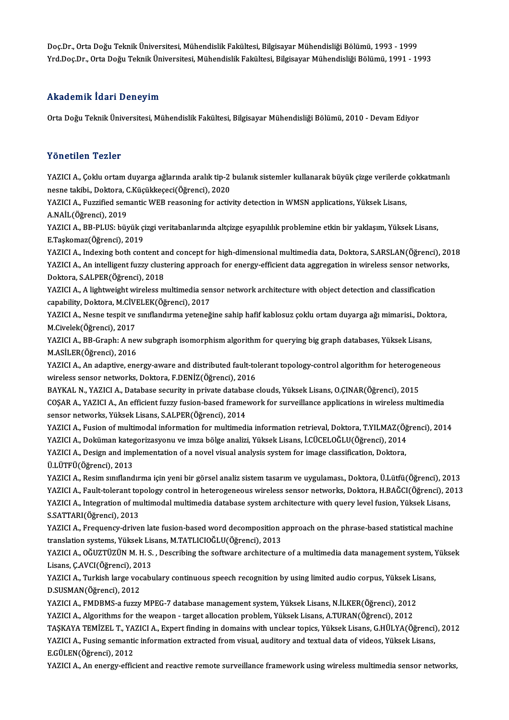Doç.Dr., Orta Doğu Teknik Üniversitesi, Mühendislik Fakültesi, Bilgisayar Mühendisliği Bölümü, 1993 - 1999<br>Vrd Doc Dr., Orta Doğu Teknik Üniversitesi, Mühendislik Fakültesi, Bilgisayar Mühendisliği Bölümü, 1993 - 1999 Doç.Dr., Orta Doğu Teknik Üniversitesi, Mühendislik Fakültesi, Bilgisayar Mühendisliği Bölümü, 1993 - 1999<br>Yrd.Doç.Dr., Orta Doğu Teknik Üniversitesi, Mühendislik Fakültesi, Bilgisayar Mühendisliği Bölümü, 1991 - 1993 Yrd.Doç.Dr., Orta Doğu Teknik Üniversitesi, Mühendislik Fakültesi, Bilgisayar Mühendisliği Bölümü, 1991 - 1993<br>Akademik İdari Deneyim

Orta Doğu Teknik Üniversitesi, Mühendislik Fakültesi, Bilgisayar Mühendisliği Bölümü, 2010 - Devam Ediyor

## Yönetilen Tezler

Yönetilen Tezler<br>YAZICI A., Çoklu ortam duyarga ağlarında aralık tip-2 bulanık sistemler kullanarak büyük çizge verilerde çokkatmanlı<br>Pesne takihi, Dektere *C.Küsükkesesi(Öğrens*i), 2020 n oncenen nesner<br>YAZICI A., Çoklu ortam duyarga ağlarında aralık tip-2<br>nesne takibi., Doktora, C.Küçükkeçeci(Öğrenci), 2020<br>YAZICI A., Euggified sementis WEB nessening for astiv YAZICI A., Çoklu ortam duyarga ağlarında aralık tip-2 bulanık sistemler kullanarak büyük çizge verilerde<br>nesne takibi., Doktora, C.Küçükkeçeci(Öğrenci), 2020<br>YAZICI A., Fuzzified semantic WEB reasoning for activity detecti

nesne takibi., Doktora, C<br>YAZICI A., Fuzzified sem<br>A.NAİL(Öğrenci), 2019<br>YAZICI A., PR BLUS, büx YAZICI A., Fuzzified semantic WEB reasoning for activity detection in WMSN applications, Yüksek Lisans,<br>A.NAİL(Öğrenci), 2019<br>YAZICI A., BB-PLUS: büyük çizgi veritabanlarında altçizge eşyapılılık problemine etkin bir yakla

A.NAİL(Öğrenci), 2019<br>YAZICI A., BB-PLUS: büyük çi<br>E.Taşkomaz(Öğrenci), 2019<br>YAZICI A., Indering bath san YAZICI A., BB-PLUS: büyük çizgi veritabanlarında altçizge eşyapılılık problemine etkin bir yaklaşım, Yüksek Lisans,<br>E.Taşkomaz(Öğrenci), 2019<br>YAZICI A., Indexing both content and concept for high-dimensional multimedia dat

E.Taşkomaz(Öğrenci), 2019<br>YAZICI A., Indexing both content and concept for high-dimensional multimedia data, Doktora, S.ARSLAN(Öğrenci), 20<br>YAZICI A., An intelligent fuzzy clustering approach for energy-efficient data aggr YAZICI A., Indexing both content al<br>YAZICI A., An intelligent fuzzy clust<br>Doktora, S.ALPER(Öğrenci), 2018<br>YAZICLA - A lightweight wireless m YAZICI A., An intelligent fuzzy clustering approach for energy-efficient data aggregation in wireless sensor networks,<br>Doktora, S.ALPER(Öğrenci), 2018<br>YAZICI A., A lightweight wireless multimedia sensor network architectur

capability, Doktora, M.CİVELEK(Öğrenci), 2017 YAZICI A., A lightweight wireless multimedia sensor network architecture with object detection and classification<br>capability, Doktora, M.CİVELEK(Öğrenci), 2017<br>YAZICI A., Nesne tespit ve sınıflandırma yeteneğine sahip hafi

capability, Doktora, M.CİVI<br>YAZICI A., Nesne tespit ve<br>M.Civelek(Öğrenci), 2017<br>YAZICI A., BB. Craphi A. nei YAZICI A., Nesne tespit ve sınıflandırma yeteneğine sahip hafif kablosuz çoklu ortam duyarga ağı mimarisi., Dokt<br>M.Civelek(Öğrenci), 2017<br>YAZICI A., BB-Graph: A new subgraph isomorphism algorithm for querying big graph dat

M.Civelek(Öğrenci), 2017<br>YAZICI A., BB-Graph: A new subgraph isomorphism algorithm for querying big graph databases, Yüksek Lisans,<br>M.ASİLER(Öğrenci), 2016 YAZICI A., BB-Graph: A new subgraph isomorphism algorithm for querying big graph databases, Yüksek Lisans,<br>M.ASİLER(Öğrenci), 2016<br>YAZICI A., An adaptive, energy-aware and distributed fault-tolerant topology-control algori

wireless sensor networks, Doktora, F.DENİZ(Öğrenci), 2016<br>BAYKAL N., YAZICI A., Database security in private database clouds, Yüksek Lisans, O.CINAR(Öğrenci), 2015 YAZICI A., An adaptive, energy-aware and distributed fault-tolerant topology-control algorithm for heteroger<br>wireless sensor networks, Doktora, F.DENİZ(Öğrenci), 2016<br>BAYKAL N., YAZICI A., Database security in private data

COSAR A., YAZICI A., An efficient fuzzy fusion-based framework for surveillance applications in wireless multimedia sensor networks, Yüksek Lisans, S.ALPER(Öğrenci), 2014 COŞAR A., YAZICI A., An efficient fuzzy fusion-based framework for surveillance applications in wireless multimedia<br>sensor networks, Yüksek Lisans, S.ALPER(Öğrenci), 2014<br>YAZICI A., Fusion of multimodal information for mul

sensor networks, Yüksek Lisans, S.ALPER(Öğrenci), 2014<br>YAZICI A., Fusion of multimodal information for multimedia information retrieval, Doktora, T.YILMAZ(Öğ<br>YAZICI A., Doküman kategorizasyonu ve imza bölge analizi, Yüksek YAZICI A., Fusion of multimodal information for multimedia information retrieval, Doktora, T.YILMAZ(Ö)<br>YAZICI A., Doküman kategorizasyonu ve imza bölge analizi, Yüksek Lisans, İ.CÜCELOĞLU(Öğrenci), 2014<br>YAZICI A., Design a

YAZICI A., Doküman kateg<br>YAZICI A., Design and imp<br>Ü.LÜTFÜ(Öğrenci), 2013<br>YAZICI A., Bosim sınıfland

Ü.LÜTFÜ(Öğrenci), 2013<br>YAZICI A., Resim sınıflandırma için yeni bir görsel analiz sistem tasarım ve uygulaması., Doktora, Ü.Lütfü(Öğrenci), 2013 Ü.LÜTFÜ(Öğrenci), 2013<br>YAZICI A., Resim sınıflandırma için yeni bir görsel analiz sistem tasarım ve uygulaması., Doktora, Ü.Lütfü(Öğrenci), 2013<br>YAZICI A., Fault-tolerant topology control in heterogeneous wireless sensor n YAZICI A., Resim sınıflandırma için yeni bir görsel analiz sistem tasarım ve uygulaması., Doktora, Ü.Lütfü(Öğrenci), 20<br>YAZICI A., Fault-tolerant topology control in heterogeneous wireless sensor networks, Doktora, H.BAĞCI YAZICI A., Fault-tolerant to<br>YAZICI A., Integration of mu<br>S.SATTARI(Öğrenci), 2013<br>YAZICI A., Eroguengy drive YAZICI A., Integration of multimodal multimedia database system architecture with query level fusion, Yüksek Lisans,<br>S.SATTARI(Öğrenci), 2013<br>YAZICI A., Frequency-driven late fusion-based word decomposition approach on the

S.SATTARI(Öğrenci), 2013<br>YAZICI A., Frequency-driven late fusion-based word decomposition a<br>translation systems, Yüksek Lisans, M.TATLICIOĞLU(Öğrenci), 2013<br>YAZICLA, QĞUZTÜZÜN M.H.S., Describing the seftyare arebitectur YAZICI A., Frequency-driven late fusion-based word decomposition approach on the phrase-based statistical machine<br>translation systems, Yüksek Lisans, M.TATLICIOĞLU(Öğrenci), 2013<br>YAZICI A., OĞUZTÜZÜN M. H. S. , Describing

translation systems, Yüksek Lisans, M.TATLICIOĞLU(Öğrenci), 2013<br>YAZICI A., OĞUZTÜZÜN M. H. S. , Describing the software architecture of a multimedia data management system, Y<br>Lisans, Ç.AVCI(Öğrenci), 2013<br>YAZICI A., Turki YAZICI A., OĞUZTÜZÜN M. H. S. , Describing the software architecture of a multimedia data management system, Yüksek<br>Lisans, Ç.AVCI(Öğrenci), 2013<br>YAZICI A., Turkish large vocabulary continuous speech recognition by using l Lisans, Ç AVCI(Öğrenci), 2013

YAZICI A., Turkish large vocabulary continuous speech recognition by using limited audio corpus, Yüksek Li<br>D.SUSMAN(Öğrenci), 2012<br>YAZICI A., FMDBMS-a fuzzy MPEG-7 database management system, Yüksek Lisans, N.İLKER(Öğrenci D.SUSMAN(Öğrenci), 2012<br>YAZICI A., FMDBMS-a fuzzy MPEG-7 database management system, Yüksek Lisans, N.İLKER(Öğrenci), 2012<br>YAZICI A., Algorithms for the weapon - target allocation problem, Yüksek Lisans, A.TURAN(Öğrenci),

YAZICI A., Algorithms for the weapon - target allocation problem, Yüksek Lisans, A.TURAN(Öğrenci), 2012<br>TAŞKAYA TEMİZEL T., YAZICI A., Expert finding in domains with unclear topics, Yüksek Lisans, G.HÜLYA(Öğrenci), 2012

YAZICI A., Algorithms for the weapon - target allocation problem, Yüksek Lisans, A.TURAN(Öğrenci), 2012<br>TAŞKAYA TEMİZEL T., YAZICI A., Expert finding in domains with unclear topics, Yüksek Lisans, G.HÜLYA(Öğrenci)<br>YAZICI A TAŞKAYA TEMİZEL T., YA<br>YAZICI A., Fusing semanti<br>E.GÜLEN(Öğrenci), 2012<br>YAZICI A. An energy effic YAZICI A., Fusing semantic information extracted from visual, auditory and textual data of videos, Yüksek Lisans,<br>E.GÜLEN(Öğrenci), 2012<br>YAZICI A., An energy-efficient and reactive remote surveillance framework using wirel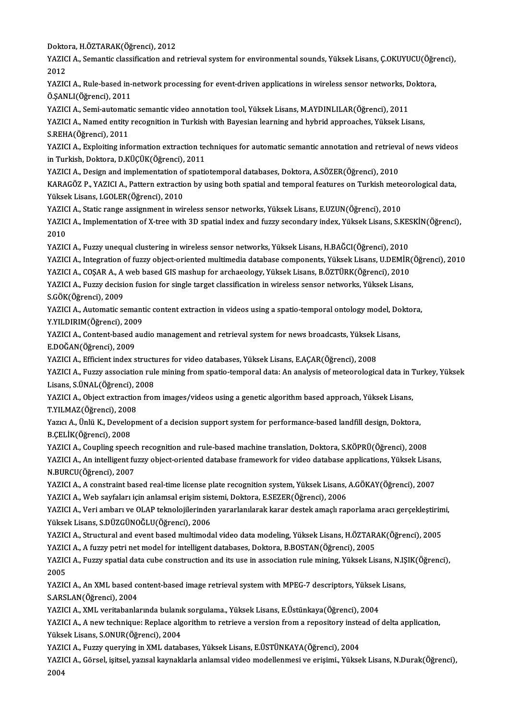Doktora, H.ÖZTARAK(Öğrenci), 2012<br>VAZICLA, Semantis elessifisation and i

YAZICI A., Semantic classification and retrieval system for environmental sounds, Yüksek Lisans, Ç.OKUYUCU(Öğrenci),<br>2012 Dokto<br>YAZIC<br>2012<br>VAZIC YAZICI A., Semantic classification and retrieval system for environmental sounds, Yüksek Lisans, Ç.OKUYUCU(Öğr<br>2012<br>YAZICI A., Rule-based in-network processing for event-driven applications in wireless sensor networks, Dok

2012<br>YAZICI A., Rule-based in-<br>Ö.ŞANLI(Öğrenci), 2011<br>YAZICI A., Somi automati YAZICI A., Rule-based in-network processing for event-driven applications in wireless sensor networks, D<br>Ö.ŞANLI(Öğrenci), 2011<br>YAZICI A., Semi-automatic semantic video annotation tool, Yüksek Lisans, M.AYDINLILAR(Öğrenci)

Ö.ŞANLI(Öğrenci), 2011<br>YAZICI A., Semi-automatic semantic video annotation tool, Yüksek Lisans, M.AYDINLILAR(Öğrenci), 2011<br>YAZICI A., Named entity recognition in Turkish with Bayesian learning and hybrid approaches, Yükse YAZICI A., Semi-automat<br>YAZICI A., Named entity<br>S.REHA(Öğrenci), 2011<br>YAZICI A., Evplojting inf

S.REHA(Öğrenci), 2011<br>YAZICI A., Exploiting information extraction techniques for automatic semantic annotation and retrieval of news videos in Turkish, Doktora, D.KÜÇÜK(Öğrenci), 2011 YAZICI A., Exploiting information extraction techniques for automatic semantic annotation and retrieva<br>in Turkish, Doktora, D.KÜÇÜK(Öğrenci), 2011<br>YAZICI A., Design and implementation of spatiotemporal databases, Doktora,

KARAGÖZ P., YAZICI A., Pattern extraction by using both spatial and temporal features on Turkish meteorological data,<br>Yüksek Lisans, I.GOLER(Öğrenci), 2010 YAZICI A., Design and implementation of<br>KARAGÖZ P., YAZICI A., Pattern extractic<br>Yüksek Lisans, I.GOLER(Öğrenci), 2010<br>YAZICI A. Statis range essignment in ud KARAGÖZ P., YAZICI A., Pattern extraction by using both spatial and temporal features on Turkish mete<br>Yüksek Lisans, I.GOLER(Öğrenci), 2010<br>YAZICI A., Static range assignment in wireless sensor networks, Yüksek Lisans, E.U

Yüksek Lisans, I.GOLER(Öğrenci), 2010<br>YAZICI A., Static range assignment in wireless sensor networks, Yüksek Lisans, E.UZUN(Öğrenci), 2010<br>YAZICI A., Implementation of X-tree with 3D spatial index and fuzzy secondary index **YAZIC<br>YAZIC<br>2010**<br>YAZIC YAZICI A., Implementation of X-tree with 3D spatial index and fuzzy secondary index, Yüksek Lisans, S.KE.<br>2010<br>YAZICI A., Fuzzy unequal clustering in wireless sensor networks, Yüksek Lisans, H.BAĞCI(Öğrenci), 2010<br>YAZICI A

2010<br>YAZICI A., Fuzzy unequal clustering in wireless sensor networks, Yüksek Lisans, H.BAĞCI(Öğrenci), 2010<br>YAZICI A., Integration of fuzzy object-oriented multimedia database components, Yüksek Lisans, U.DEMİR(Öğrenci), 2

YAZICI A., Fuzzy unequal clustering in wireless sensor networks, Yüksek Lisans, H.BAĞCI(Öğrenci), 2010<br>YAZICI A., Integration of fuzzy object-oriented multimedia database components, Yüksek Lisans, U.DEMİR(<br>YAZICI A., COŞA

YAZICI A., Integration of fuzzy object-oriented multimedia database components, Yüksek Lisans, U.DEMİR(<br>YAZICI A., COŞAR A., A web based GIS mashup for archaeology, Yüksek Lisans, B.ÖZTÜRK(Öğrenci), 2010<br>YAZICI A., Fuzzy d YAZICI A., COŞAR A., A<br>YAZICI A., Fuzzy decisi<br>S.GÖK(Öğrenci), 2009<br>YAZICI A., Automatic ce YAZICI A., Fuzzy decision fusion for single target classification in wireless sensor networks, Yüksek Lisans,<br>S.GÖK(Öğrenci), 2009<br>YAZICI A., Automatic semantic content extraction in videos using a spatio-temporal ontology

S.GÖK(Öğrenci), 2009<br>YAZICI A., Automatic semant<br>Y.YILDIRIM(Öğrenci), 2009<br>YAZICI A. Content based avı YAZICI A., Automatic semantic content extraction in videos using a spatio-temporal ontology model, Do<br>Y.YILDIRIM(Öğrenci), 2009<br>YAZICI A., Content-based audio management and retrieval system for news broadcasts, Yüksek Lis

Y.YILDIRIM(Öğrenci), 200<br>YAZICI A., Content-based a<br>E.DOĞAN(Öğrenci), 2009<br>YAZICI A., Efficiont indov s YAZICI A., Content-based audio management and retrieval system for news broadcasts, Yüksek I<br>E.DOĞAN(Öğrenci), 2009<br>YAZICI A., Efficient index structures for video databases, Yüksek Lisans, E.AÇAR(Öğrenci), 2008<br>YAZICI A.,

E.DOĞAN(Öğrenci), 2009<br>YAZICI A., Efficient index structures for video databases, Yüksek Lisans, E.AÇAR(Öğrenci), 2008<br>YAZICI A., Fuzzy association rule mining from spatio-temporal data: An analysis of meteorological data Lisans, S.ÜNAL(Öğrenci), 2008 YAZICI A., Fuzzy association rule mining from spatio-temporal data: An analysis of meteorological data in 1<br>Lisans, S.ÜNAL(Öğrenci), 2008<br>YAZICI A., Object extraction from images/videos using a genetic algorithm based appr

Lisans, S.ÜNAL (Öğrenci), 2<br>YAZICI A., Object extraction<br>T.YILMAZ (Öğrenci), 2008<br>Yazıcı A. Ünlü K., Davalanı YAZICI A., Object extraction from images/videos using a genetic algorithm based approach, Yüksek Lisans,<br>T.YILMAZ(Öğrenci), 2008<br>Yazıcı A., Ünlü K., Development of a decision support system for performance-based landfill d

T.YILMAZ(Öğrenci), 2008<br>Yazıcı A., Ünlü K., Development of a decision support system for performance-based landfill design, Doktora,<br>B.ÇELİK(Öğrenci), 2008 Yazıcı A., Ünlü K., Development of a decision support system for performance-based landfill design, Doktora,<br>B.ÇELİK(Öğrenci), 2008<br>YAZICI A., Coupling speech recognition and rule-based machine translation, Doktora, S.KÖPR

B.ÇELİK(Öğrenci), 2008<br>YAZICI A., Coupling speech recognition and rule-based machine translation, Doktora, S.KÖPRÜ(Öğrenci), 2008<br>YAZICI A., An intelligent fuzzy object-oriented database framework for video database applic YAZICI A., Coupling speecl<br>YAZICI A., An intelligent fu<br>N.BURCU(Öğrenci), 2007<br>YAZICI A. A senstraint bes YAZICI A., An intelligent fuzzy object-oriented database framework for video database applications, Yüksek Lisans<br>N.BURCU(Öğrenci), 2007<br>YAZICI A., A constraint based real-time license plate recognition system, Yüksek Lisa

N.BURCU(Öğrenci), 2007<br>YAZICI A., A constraint based real-time license plate recognition system, Yüksek Lisans, A.GÖKAY(Öğrenci), 2007<br>YAZICI A., Web sayfaları için anlamsal erişim sistemi, Doktora, E.SEZER(Öğrenci), 2006 YAZICI A., A constraint based real-time license plate recognition system, Yüksek Lisans, A.GÖKAY(Öğrenci), 2007<br>YAZICI A., Web sayfaları için anlamsal erişim sistemi, Doktora, E.SEZER(Öğrenci), 2006<br>YAZICI A., Veri ambarı

YAZICI A., Web sayfaları için anlamsal erişim sist<br>YAZICI A., Veri ambarı ve OLAP teknolojilerinde<br>Yüksek Lisans, S.DÜZGÜNOĞLU(Öğrenci), 2006<br>YAZICI A. Structural and event based multimode YAZICI A., Veri ambarı ve OLAP teknolojilerinden yararlanılarak karar destek amaçlı raporlama aracı gerçekleştiri<mark>m</mark><br>Yüksek Lisans, S.DÜZGÜNOĞLU(Öğrenci), 2006<br>YAZICI A., Structural and event based multimodal video data mo

Yüksek Lisans, S.DÜZGÜNOĞLU(Öğrenci), 2006<br>YAZICI A., Structural and event based multimodal video data modeling, Yüksek Lisans, H.ÖZTARAK(Öğrenci), 2005<br>YAZICI A., A fuzzy petri net model for intelligent databases, Doktora

YAZICI A., Structural and event based multimodal video data modeling, Yüksek Lisans, H.ÖZTARAK(Öğrenci), 2005<br>YAZICI A., A fuzzy petri net model for intelligent databases, Doktora, B.BOSTAN(Öğrenci), 2005<br>YAZICI A., Fuzzy **YAZIC<br>YAZIC<br>2005<br>YAZIC** YAZICI A., Fuzzy spatial data cube construction and its use in association rule mining, Yüksek Lisans, N.IŞ<br>2005<br>YAZICI A., An XML based content-based image retrieval system with MPEG-7 descriptors, Yüksek Lisans,<br>S ARSI A

2005<br>YAZICI A., An XML based content-based image retrieval system with MPEG-7 descriptors, Yüksek Lisans,<br>S.ARSLAN(Öğrenci), 2004 YAZICI A., An XML based content-based image retrieval system with MPEG-7 descriptors, Yüksek<br>S.ARSLAN(Öğrenci), 2004<br>YAZICI A., XML veritabanlarında bulanık sorgulama., Yüksek Lisans, E.Üstünkaya(Öğrenci), 2004<br>YAZICI A.,

S.ARSLAN(Öğrenci), 2004<br>YAZICI A., XML veritabanlarında bulanık sorgulama., Yüksek Lisans, E.Üstünkaya(Öğrenci), 2004<br>YAZICI A., A new technique: Replace algorithm to retrieve a version from a repository instead of delta a YAZICI A., XML veritabanlarında bulanıl<br>YAZICI A., A new technique: Replace alg<br>Yüksek Lisans, S.ONUR(Öğrenci), 2004<br>YAZICLA, Evrey queryine in YML datab YAZICI A., A new technique: Replace algorithm to retrieve a version from a repository inste<br>Yüksek Lisans, S.ONUR(Öğrenci), 2004<br>YAZICI A., Fuzzy querying in XML databases, Yüksek Lisans, E.ÜSTÜNKAYA(Öğrenci), 2004<br>YAZICI

Yüksek Lisans, S.ONUR(Öğrenci), 2004<br>YAZICI A., Fuzzy querying in XML databases, Yüksek Lisans, E.ÜSTÜNKAYA(Öğrenci), 2004<br>YAZICI A., Görsel, işitsel, yazısal kaynaklarla anlamsal video modellenmesi ve erişimi., Yüksek Lis YAZI<br>YAZI<br>2004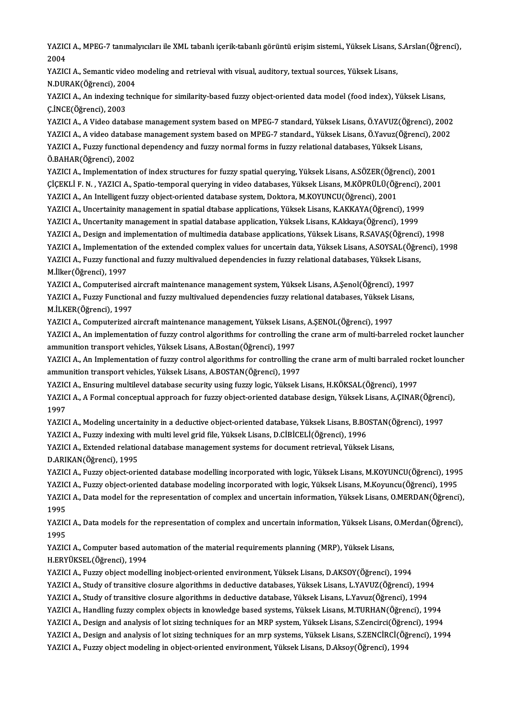YAZICI A., MPEG-7 tanımalyıcıları ile XML tabanlı içerik-tabanlı görüntü erişim sistemi., Yüksek Lisans, S.Arslan(Öğrenci),<br>2004 YAZIC<br>2004<br>VAZIC YAZICI A., MPEG-7 tanımalyıcıları ile XML tabanlı içerik-tabanlı görüntü erişim sistemi., Yüksek Lisans, Y<br>2004<br>YAZICI A., Semantic video modeling and retrieval with visual, auditory, textual sources, Yüksek Lisans,<br>N DURA

2004<br>YAZICI A., Semantic video<br>N.DURAK(Öğrenci), 2004<br>YAZICLA An indeving teel

YAZICI A., Semantic video modeling and retrieval with visual, auditory, textual sources, Yüksek Lisans,<br>N.DURAK(Öğrenci), 2004<br>YAZICI A., An indexing technique for similarity-based fuzzy object-oriented data model (food in N.DURAK(Öğrenci), 200<br>YAZICI A., An indexing t<br>Ç.İNCE(Öğrenci), 2003<br>YAZICI A. A Video datal YAZICI A., An indexing technique for similarity-based fuzzy object-oriented data model (food index), Yüksek Lisans,<br>Ç.İNCE(Öğrenci), 2003<br>YAZICI A., A Video database management system based on MPEG-7 standard, Yüksek Lisan

Ç.İNCE(Öğrenci), 2003<br>YAZICI A., A Video database management system based on MPEG-7 standard, Yüksek Lisans, Ö.YAVUZ(Öğrenci), 2002<br>YAZICI A., A video database management system based on MPEG-7 standard., Yüksek Lisans, Ö. YAZICI A., A Video database management system based on MPEG-7 standard, Yüksek Lisans, Ö.YAVUZ(Öğren<br>YAZICI A., A video database management system based on MPEG-7 standard., Yüksek Lisans, Ö.Yavuz(Öğrenc<br>YAZICI A., Fuzzy f YAZICI A., A video database management system based on MPEG-7 standard., Yüksek Lisans, Ö.Yavuz(Öğrenci), 2002<br>YAZICI A., Fuzzy functional dependency and fuzzy normal forms in fuzzy relational databases, Yüksek Lisans,<br>Ö.B YAZICI A., Fuzzy functional dependency and fuzzy normal forms in fuzzy relational databases, Yüksek Lisans,<br>Ö.BAHAR(Öğrenci), 2002<br>YAZICI A., Implementation of index structures for fuzzy spatial querying, Yüksek Lisans, A.

Ö.BAHAR(Öğrenci), 2002<br>YAZICI A., Implementation of index structures for fuzzy spatial querying, Yüksek Lisans, A.SÖZER(Öğrenci), 2001<br>ÇİÇEKLİ F. N. , YAZICI A., Spatio-temporal querying in video databases, Yüksek Lisans, YAZICI A., Implementation of index structures for fuzzy spatial querying, Yüksek Lisans, A.SÖZER(Öğre<br>ÇİÇEKLİ F. N. , YAZICI A., Spatio-temporal querying in video databases, Yüksek Lisans, M.KÖPRÜLÜ(Öğ<br>YAZICI A., An Intell ÇİÇEKLİ F. N. , YAZICI A., Spatio-temporal querying in video databases, Yüksek Lisans, M.KÖPRÜLÜ(Öğrenci), 2<br>YAZICI A., An Intelligent fuzzy object-oriented database system, Doktora, M.KOYUNCU(Öğrenci), 2001<br>YAZICI A., Unc

YAZICI A., An Intelligent fuzzy object-oriented database system, Doktora, M.KOYUNCU(Öğrenci), 2001<br>YAZICI A., Uncertainity management in spatial dtabase applications, Yüksek Lisans, K.AKKAYA(Öğrenci), 1999<br>YAZICI A., Uncer

YAZICI A., Uncertainity management in spatial dtabase applications, Yüksek Lisans, K.AKKAYA(Öğrenci), 1999<br>YAZICI A., Uncertanity management in spatial database application, Yüksek Lisans, K.Akkaya(Öğrenci), 1999<br>YAZICI A.

YAZICI A., Uncertanity management in spatial database application, Yüksek Lisans, K.Akkaya(Öğrenci), 1999<br>YAZICI A., Design and implementation of multimedia database applications, Yüksek Lisans, R.SAVAŞ(Öğrenci), 1998<br>YAZI

YAZICI A., Design and implementation of multimedia database applications, Yüksek Lisans, R.SAVAŞ(Öğrenci), 1998<br>YAZICI A., Implementation of the extended complex values for uncertain data, Yüksek Lisans, A.SOYSAL(Öğrenci), YAZICI A., Implementati<br>YAZICI A., Fuzzy functio<br>M.İlker(Öğrenci), 1997<br>YAZICI A. Computerisse YAZICI A., Fuzzy functional and fuzzy multivalued dependencies in fuzzy relational databases, Yüksek Lisans,

YAZICI A., Fuzzy Functional and fuzzy multivalued dependencies fuzzy relational databases, Yüksek Lisans,<br>M.İLKER(Öğrenci), 1997 YAZICI A., Computerised aircraft maintenance management system, Yüksek Lisans, A.Şenol(Öğrenci), 1997 YAZICI A., Fuzzy Functional and fuzzy multivalued dependencies fuzzy relational databases, Yüksek L<br>M.İLKER(Öğrenci), 1997<br>YAZICI A., Computerized aircraft maintenance management, Yüksek Lisans, A.ŞENOL(Öğrenci), 1997<br>YAZI

YAZICI A., An implementation of fuzzy control algorithms for controlling the crane arm of multi-barreled rocket launcher<br>ammunition transport vehicles, Yüksek Lisans, A.Bostan(Öğrenci), 1997 YAZICI A., Computerized aircraft maintenance management, Yüksek Lisan<br>YAZICI A., An implementation of fuzzy control algorithms for controlling<br>ammunition transport vehicles, Yüksek Lisans, A.Bostan(Öğrenci), 1997<br>YAZICI A. YAZICI A., An implementation of fuzzy control algorithms for controlling the crane arm of multi-barreled rocket launcher<br>ammunition transport vehicles, Yüksek Lisans, A.Bostan(Öğrenci), 1997<br>YAZICI A., An Implementation of

ammunition transport vehicles, Yüksek Lisans, A.Bostan(Öğrenci), 1997<br>YAZICI A., An Implementation of fuzzy control algorithms for controlling the<br>ammunition transport vehicles, Yüksek Lisans, A.BOSTAN(Öğrenci), 1997<br>YAZIC YAZICI A., An Implementation of fuzzy control algorithms for controlling the crane arm of multi barraled root<br>ammunition transport vehicles, Yüksek Lisans, A.BOSTAN(Öğrenci), 1997<br>YAZICI A., Ensuring multilevel database se

ammunition transport vehicles, Yüksek Lisans, A.BOSTAN(Öğrenci), 1997<br>YAZICI A., Ensuring multilevel database security using fuzzy logic, Yüksek Lisans, H.KÖKSAL(Öğrenci), 1997<br>YAZICI A., A Formal conceptual approach for f **YAZIC<br>YAZIC<br>1997**<br>VAZIC YAZICI A., A Formal conceptual approach for fuzzy object-oriented database design, Yüksek Lisans, A.ÇINAR(Öğrenc<br>1997<br>YAZICI A., Modeling uncertainity in a deductive object-oriented database, Yüksek Lisans, B.BOSTAN(Öğrenc

1997<br>YAZICI A., Modeling uncertainity in a deductive object-oriented database, Yüksek Lisans, B.BO<br>YAZICI A., Fuzzy indexing with multi level grid file, Yüksek Lisans, D.CİBİCELİ(Öğrenci), 1996<br>YAZICI A., Eutended relation YAZICI A., Modeling uncertainity in a deductive object-oriented database, Yüksek Lisans, B.BOSTAN(Č<br>YAZICI A., Fuzzy indexing with multi level grid file, Yüksek Lisans, D.CİBİCELİ(Öğrenci), 1996<br>YAZICI A., Extended relatio

YAZICI A., Fuzzy indexing with multi level grid file, Yüksek Lisans, D.CİBİCELİ(Öğrenci), 1996<br>YAZICI A., Extended relational database management systems for document retrieval, Yüksek Lisans,<br>D.ARIKAN(Öğrenci), 1995

YAZICI A., Extended relational database management systems for document retrieval, Yüksek Lisans,<br>D.ARIKAN(Öğrenci), 1995<br>YAZICI A., Fuzzy object-oriented database modelling incorporated with logic, Yüksek Lisans, M.KOYUNC D.ARIKAN(Öğrenci), 1995<br>YAZICI A., Fuzzy object-oriented database modelling incorporated with logic, Yüksek Lisans, M.KOYUNCU(Öğrenci), 199<br>YAZICI A., Fuzzy object-oriented database modeling incorporated with logic, Yüksek YAZICI A., Fuzzy object-oriented database modelling incorporated with logic, Yüksek Lisans, M.KOYUNCU(Öğrenci), 1995<br>YAZICI A., Fuzzy object-oriented database modeling incorporated with logic, Yüksek Lisans, M.Koyuncu(Öğre YAZICI A., Fuzzy object-oriented database modeling incorporated with logic, Yüksek Lisans, M.Koyuncu(Öğrenci), 1995<br>YAZICI A., Data model for the representation of complex and uncertain information, Yüksek Lisans, O.MERDAN YAZICI A., Data model for the representation of complex and uncertain information, Yüksek Lisans, O.MERDAN(Öğrenci),<br>1995<br>YAZICI A., Data models for the representation of complex and uncertain information, Yüksek Lisans, O

YAZICI A., Data models for the representation of complex and uncertain information, Yüksek Lisans, O.Merdan(Öğrenci),<br>1995 YAZICI A., Data models for the representation of complex and uncertain information, Yüksek Lisans, (<br>1995<br>YAZICI A., Computer based automation of the material requirements planning (MRP), Yüksek Lisans,<br>H EPVÜKSEL (Öğrensi

1995<br>YAZICI A., Computer based au<br>H.ERYÜKSEL(Öğrenci), 1994<br>YAZICLA, Evray object model YAZICI A., Computer based automation of the material requirements planning (MRP), Yüksek Lisans,<br>H.ERYÜKSEL(Öğrenci), 1994<br>YAZICI A., Fuzzy object modelling inobject-oriented environment, Yüksek Lisans, D.AKSOY(Öğrenci), 1 H.ERYÜKSEL(Öğrenci), 1994<br>YAZICI A., Fuzzy object modelling inobject-oriented environment, Yüksek Lisans, D.AKSOY(Öğrenci), 1994<br>YAZICI A., Study of transitive closure algorithms in deductive databases, Yüksek Lisans, L.YA

YAZICI A., Fuzzy object modelling inobject-oriented environment, Yüksek Lisans, D.AKSOY(Öğrenci), 1994<br>YAZICI A., Study of transitive closure algorithms in deductive databases, Yüksek Lisans, L.YAVUZ(Öğrenci), 199<br>YAZICI A

YAZICI A., Study of transitive closure algorithms in deductive database, Yüksek Lisans, L.Yavuz(Öğrenci), 1994<br>YAZICI A., Handling fuzzy complex objects in knowledge based systems, Yüksek Lisans, M.TURHAN(Öğrenci), 1994

YAZICI A., Design and analysis of lot sizing techniques for an MRP system, Yüksek Lisans, S.Zencirci(Öğrenci), 1994

YAZICI A., Handling fuzzy complex objects in knowledge based systems, Yüksek Lisans, M.TURHAN(Öğrenci), 1994<br>YAZICI A., Design and analysis of lot sizing techniques for an MRP system, Yüksek Lisans, S.Zencirci(Öğrenci), 19 YAZICI A., Design and analysis of lot sizing techniques for an MRP system, Yüksek Lisans, S.Zencirci(Öğre<br>YAZICI A., Design and analysis of lot sizing techniques for an mrp systems, Yüksek Lisans, S.ZENCİRCİ(Öğ<br>YAZICI A.,